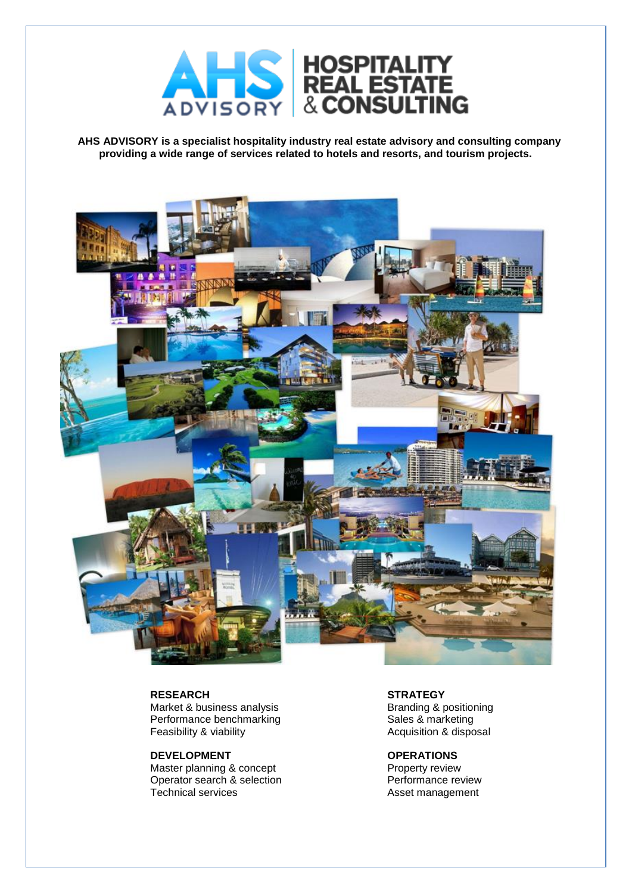

**AHS ADVISORY is a specialist hospitality industry real estate advisory and consulting company providing a wide range of services related to hotels and resorts, and tourism projects.**



#### **RESEARCH**

Market & business analysis Performance benchmarking Feasibility & viability

#### **DEVELOPMENT**

Master planning & concept Operator search & selection Technical services

**STRATEGY** Branding & positioning Sales & marketing Acquisition & disposal

### **OPERATIONS**

Property review Performance review Asset management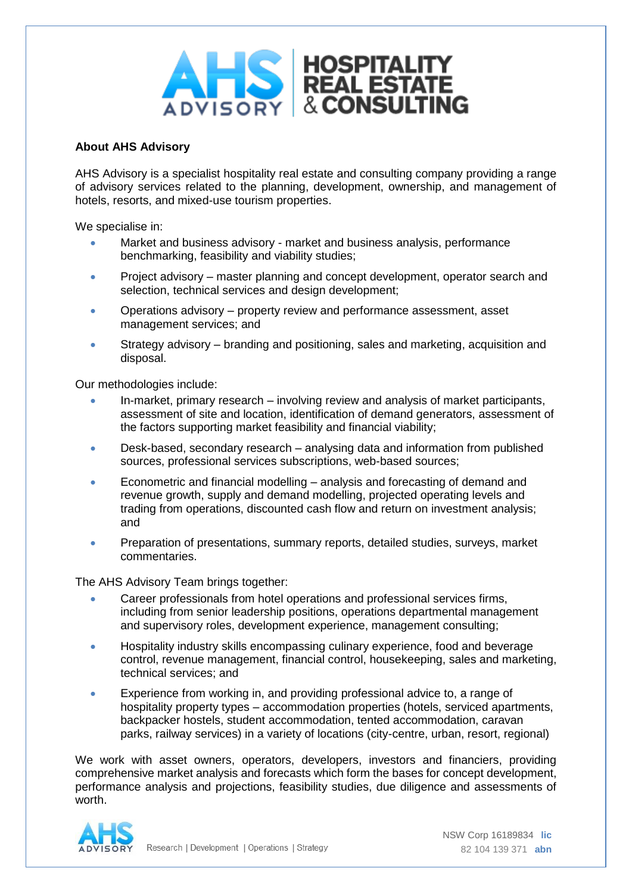

# **About AHS Advisory**

AHS Advisory is a specialist hospitality real estate and consulting company providing a range of advisory services related to the planning, development, ownership, and management of hotels, resorts, and mixed-use tourism properties.

We specialise in:

- Market and business advisory market and business analysis, performance benchmarking, feasibility and viability studies;
- Project advisory master planning and concept development, operator search and selection, technical services and design development;
- Operations advisory property review and performance assessment, asset management services; and
- Strategy advisory branding and positioning, sales and marketing, acquisition and disposal.

Our methodologies include:

- In-market, primary research involving review and analysis of market participants, assessment of site and location, identification of demand generators, assessment of the factors supporting market feasibility and financial viability;
- Desk-based, secondary research analysing data and information from published sources, professional services subscriptions, web-based sources;
- Econometric and financial modelling analysis and forecasting of demand and revenue growth, supply and demand modelling, projected operating levels and trading from operations, discounted cash flow and return on investment analysis; and
- Preparation of presentations, summary reports, detailed studies, surveys, market commentaries.

The AHS Advisory Team brings together:

- Career professionals from hotel operations and professional services firms, including from senior leadership positions, operations departmental management and supervisory roles, development experience, management consulting;
- Hospitality industry skills encompassing culinary experience, food and beverage control, revenue management, financial control, housekeeping, sales and marketing, technical services; and
- Experience from working in, and providing professional advice to, a range of hospitality property types – accommodation properties (hotels, serviced apartments, backpacker hostels, student accommodation, tented accommodation, caravan parks, railway services) in a variety of locations (city-centre, urban, resort, regional)

We work with asset owners, operators, developers, investors and financiers, providing comprehensive market analysis and forecasts which form the bases for concept development, performance analysis and projections, feasibility studies, due diligence and assessments of worth.

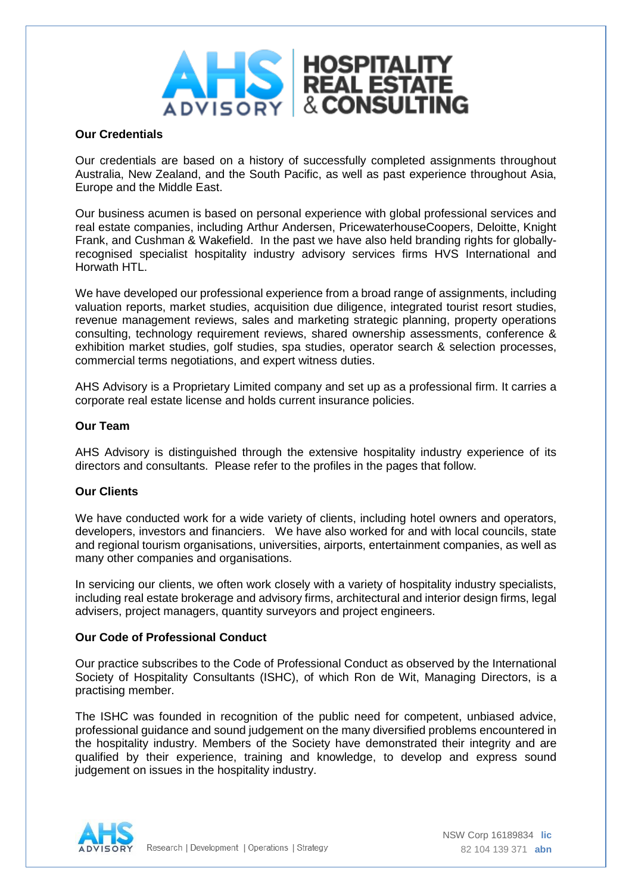

# **Our Credentials**

Our credentials are based on a history of successfully completed assignments throughout Australia, New Zealand, and the South Pacific, as well as past experience throughout Asia, Europe and the Middle East.

Our business acumen is based on personal experience with global professional services and real estate companies, including Arthur Andersen, PricewaterhouseCoopers, Deloitte, Knight Frank, and Cushman & Wakefield. In the past we have also held branding rights for globallyrecognised specialist hospitality industry advisory services firms HVS International and Horwath HTL.

We have developed our professional experience from a broad range of assignments, including valuation reports, market studies, acquisition due diligence, integrated tourist resort studies, revenue management reviews, sales and marketing strategic planning, property operations consulting, technology requirement reviews, shared ownership assessments, conference & exhibition market studies, golf studies, spa studies, operator search & selection processes, commercial terms negotiations, and expert witness duties.

AHS Advisory is a Proprietary Limited company and set up as a professional firm. It carries a corporate real estate license and holds current insurance policies.

## **Our Team**

AHS Advisory is distinguished through the extensive hospitality industry experience of its directors and consultants. Please refer to the profiles in the pages that follow.

## **Our Clients**

We have conducted work for a wide variety of clients, including hotel owners and operators, developers, investors and financiers. We have also worked for and with local councils, state and regional tourism organisations, universities, airports, entertainment companies, as well as many other companies and organisations.

In servicing our clients, we often work closely with a variety of hospitality industry specialists, including real estate brokerage and advisory firms, architectural and interior design firms, legal advisers, project managers, quantity surveyors and project engineers.

## **Our Code of Professional Conduct**

Our practice subscribes to the Code of Professional Conduct as observed by the International Society of Hospitality Consultants (ISHC), of which Ron de Wit, Managing Directors, is a practising member.

The ISHC was founded in recognition of the public need for competent, unbiased advice, professional guidance and sound judgement on the many diversified problems encountered in the hospitality industry. Members of the Society have demonstrated their integrity and are qualified by their experience, training and knowledge, to develop and express sound judgement on issues in the hospitality industry.

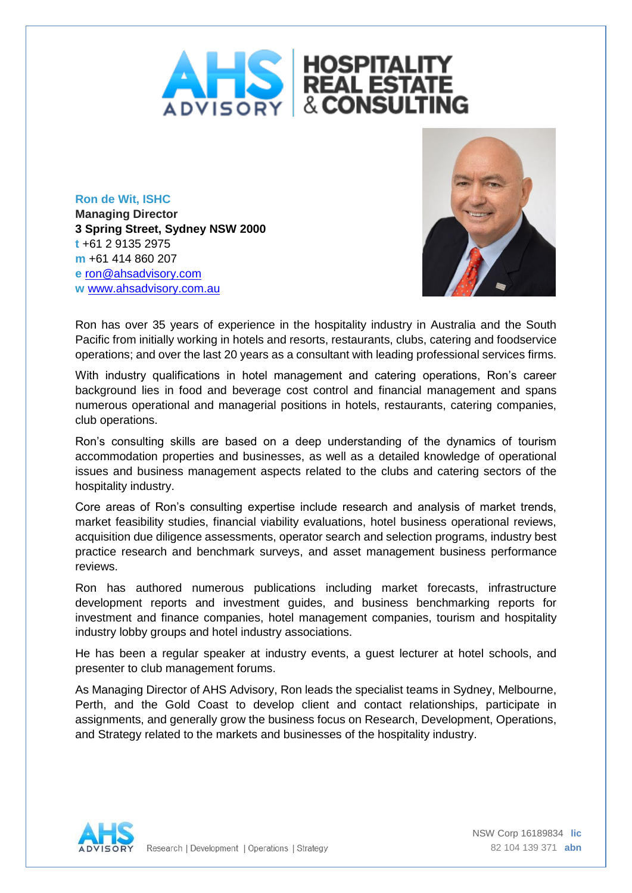

**Ron de Wit, ISHC Managing Director 3 Spring Street, Sydney NSW 2000 t** +61 2 9135 2975 **m** +61 414 860 207 **e** [ron@ahsadvisory.com](mailto:ron@ahsadvisory.com) **w** [www.ahsadvisory.com.au](http://www.ahsadvisory.com.au/)



Ron has over 35 years of experience in the hospitality industry in Australia and the South Pacific from initially working in hotels and resorts, restaurants, clubs, catering and foodservice operations; and over the last 20 years as a consultant with leading professional services firms.

With industry qualifications in hotel management and catering operations, Ron's career background lies in food and beverage cost control and financial management and spans numerous operational and managerial positions in hotels, restaurants, catering companies, club operations.

Ron's consulting skills are based on a deep understanding of the dynamics of tourism accommodation properties and businesses, as well as a detailed knowledge of operational issues and business management aspects related to the clubs and catering sectors of the hospitality industry.

Core areas of Ron's consulting expertise include research and analysis of market trends, market feasibility studies, financial viability evaluations, hotel business operational reviews, acquisition due diligence assessments, operator search and selection programs, industry best practice research and benchmark surveys, and asset management business performance reviews.

Ron has authored numerous publications including market forecasts, infrastructure development reports and investment guides, and business benchmarking reports for investment and finance companies, hotel management companies, tourism and hospitality industry lobby groups and hotel industry associations.

He has been a regular speaker at industry events, a guest lecturer at hotel schools, and presenter to club management forums.

As Managing Director of AHS Advisory, Ron leads the specialist teams in Sydney, Melbourne, Perth, and the Gold Coast to develop client and contact relationships, participate in assignments, and generally grow the business focus on Research, Development, Operations, and Strategy related to the markets and businesses of the hospitality industry.

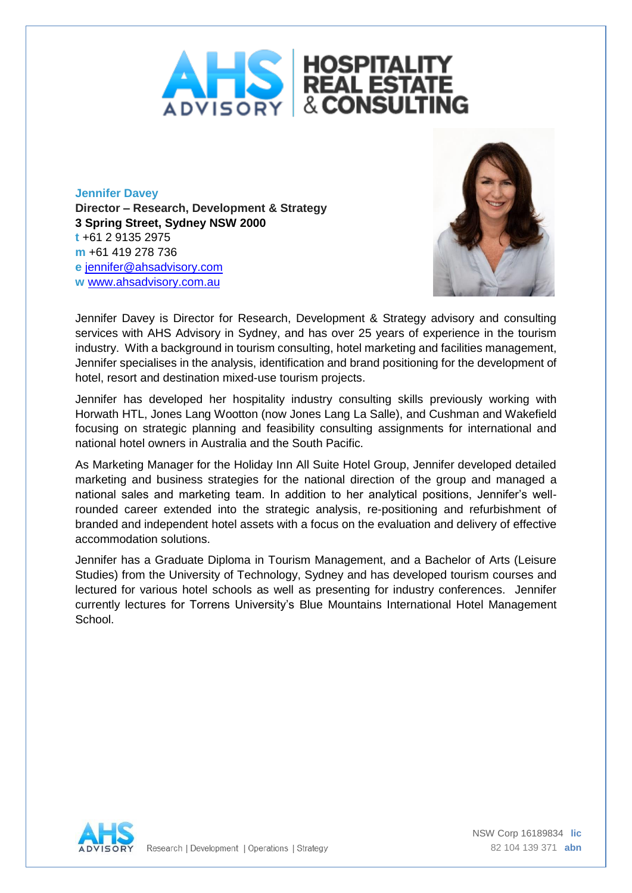

**Jennifer Davey Director – Research, Development & Strategy 3 Spring Street, Sydney NSW 2000 t** +61 2 9135 2975 **m** +61 419 278 736 **e** [jennifer@ahsadvisory.com](mailto:jennifer@ahsadvisory.com) **w** [www.ahsadvisory.com.au](http://www.ahsadvisory.com.au/)



Jennifer Davey is Director for Research, Development & Strategy advisory and consulting services with AHS Advisory in Sydney, and has over 25 years of experience in the tourism industry. With a background in tourism consulting, hotel marketing and facilities management, Jennifer specialises in the analysis, identification and brand positioning for the development of hotel, resort and destination mixed-use tourism projects.

Jennifer has developed her hospitality industry consulting skills previously working with Horwath HTL, Jones Lang Wootton (now Jones Lang La Salle), and Cushman and Wakefield focusing on strategic planning and feasibility consulting assignments for international and national hotel owners in Australia and the South Pacific.

As Marketing Manager for the Holiday Inn All Suite Hotel Group, Jennifer developed detailed marketing and business strategies for the national direction of the group and managed a national sales and marketing team. In addition to her analytical positions, Jennifer's wellrounded career extended into the strategic analysis, re-positioning and refurbishment of branded and independent hotel assets with a focus on the evaluation and delivery of effective accommodation solutions.

Jennifer has a Graduate Diploma in Tourism Management, and a Bachelor of Arts (Leisure Studies) from the University of Technology, Sydney and has developed tourism courses and lectured for various hotel schools as well as presenting for industry conferences. Jennifer currently lectures for Torrens University's Blue Mountains International Hotel Management School.

Research | Development | Operations | Strategy

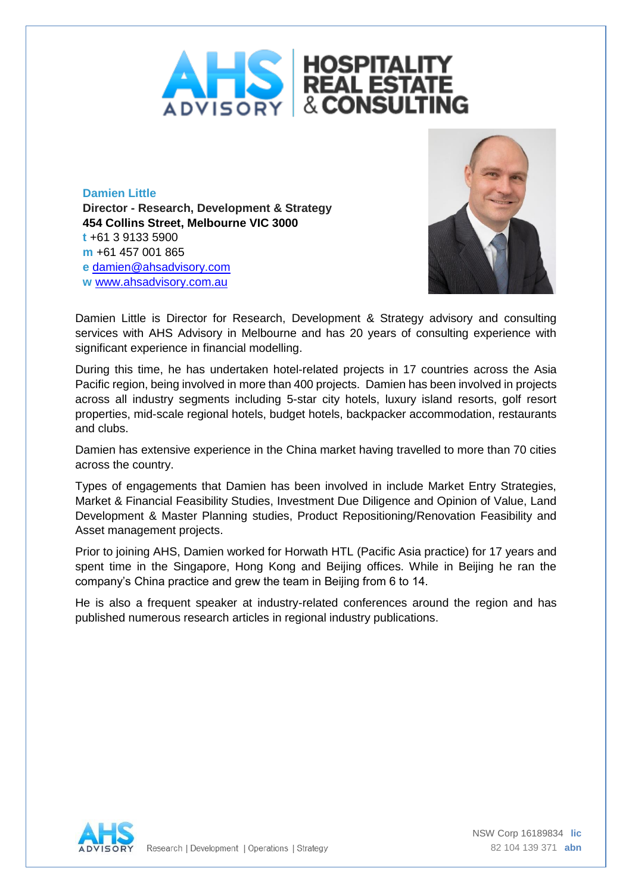

**Damien Little Director - Research, Development & Strategy 454 Collins Street, Melbourne VIC 3000 t** +61 3 9133 5900 **m** +61 457 001 865 **e** [damien@ahsadvisory.com](mailto:damien@ahsadvisory.com) **w** [www.ahsadvisory.com.](http://www.ahsadvisory.com/)au



Damien Little is Director for Research, Development & Strategy advisory and consulting services with AHS Advisory in Melbourne and has 20 years of consulting experience with significant experience in financial modelling.

During this time, he has undertaken hotel-related projects in 17 countries across the Asia Pacific region, being involved in more than 400 projects. Damien has been involved in projects across all industry segments including 5-star city hotels, luxury island resorts, golf resort properties, mid-scale regional hotels, budget hotels, backpacker accommodation, restaurants and clubs.

Damien has extensive experience in the China market having travelled to more than 70 cities across the country.

Types of engagements that Damien has been involved in include Market Entry Strategies, Market & Financial Feasibility Studies, Investment Due Diligence and Opinion of Value, Land Development & Master Planning studies, Product Repositioning/Renovation Feasibility and Asset management projects.

Prior to joining AHS, Damien worked for Horwath HTL (Pacific Asia practice) for 17 years and spent time in the Singapore, Hong Kong and Beijing offices. While in Beijing he ran the company's China practice and grew the team in Beijing from 6 to 14.

He is also a frequent speaker at industry-related conferences around the region and has published numerous research articles in regional industry publications.

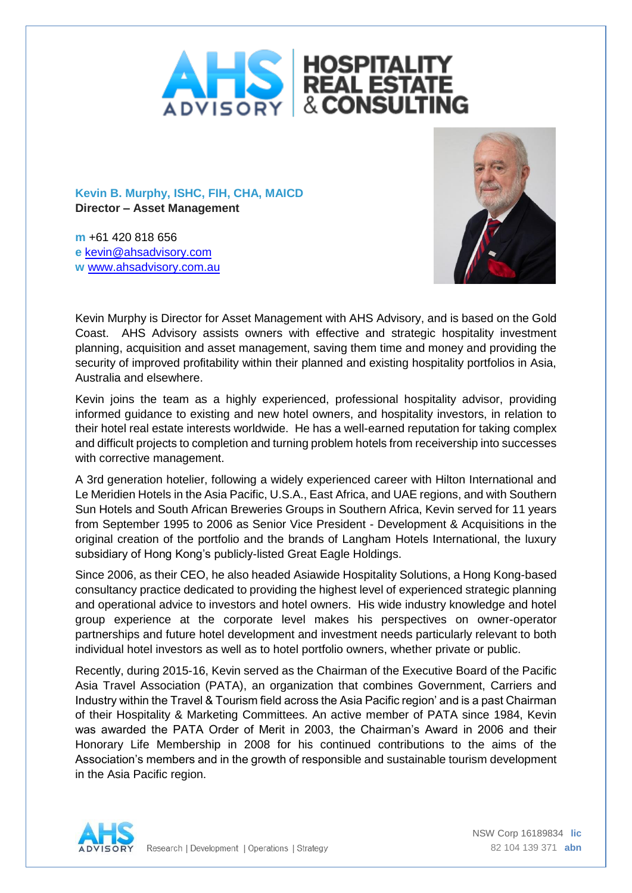

**Kevin B. Murphy, ISHC, FIH, CHA, MAICD Director – Asset Management**

**m** +61 420 818 656 **e** [kevin@ahsadvisory.com](mailto:kevin@ahsadvisory.com) **w** [www.ahsadvisory.com.au](http://www.ahsadvisory.com.au/)



Kevin Murphy is Director for Asset Management with AHS Advisory, and is based on the Gold Coast. AHS Advisory assists owners with effective and strategic hospitality investment planning, acquisition and asset management, saving them time and money and providing the security of improved profitability within their planned and existing hospitality portfolios in Asia, Australia and elsewhere.

Kevin joins the team as a highly experienced, professional hospitality advisor, providing informed guidance to existing and new hotel owners, and hospitality investors, in relation to their hotel real estate interests worldwide. He has a well-earned reputation for taking complex and difficult projects to completion and turning problem hotels from receivership into successes with corrective management.

A 3rd generation hotelier, following a widely experienced career with Hilton International and Le Meridien Hotels in the Asia Pacific, U.S.A., East Africa, and UAE regions, and with Southern Sun Hotels and South African Breweries Groups in Southern Africa, Kevin served for 11 years from September 1995 to 2006 as Senior Vice President - Development & Acquisitions in the original creation of the portfolio and the brands of Langham Hotels International, the luxury subsidiary of Hong Kong's publicly-listed Great Eagle Holdings.

Since 2006, as their CEO, he also headed Asiawide Hospitality Solutions, a Hong Kong-based consultancy practice dedicated to providing the highest level of experienced strategic planning and operational advice to investors and hotel owners. His wide industry knowledge and hotel group experience at the corporate level makes his perspectives on owner-operator partnerships and future hotel development and investment needs particularly relevant to both individual hotel investors as well as to hotel portfolio owners, whether private or public.

Recently, during 2015-16, Kevin served as the Chairman of the Executive Board of the Pacific Asia Travel Association (PATA), an organization that combines Government, Carriers and Industry within the Travel & Tourism field across the Asia Pacific region' and is a past Chairman of their Hospitality & Marketing Committees. An active member of PATA since 1984, Kevin was awarded the PATA Order of Merit in 2003, the Chairman's Award in 2006 and their Honorary Life Membership in 2008 for his continued contributions to the aims of the Association's members and in the growth of responsible and sustainable tourism development in the Asia Pacific region.

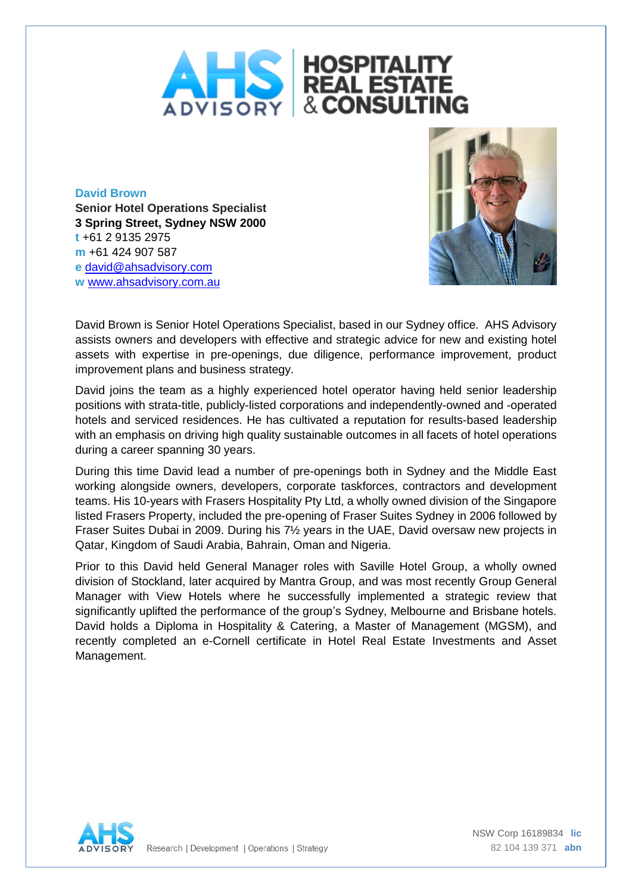

**David Brown Senior Hotel Operations Specialist 3 Spring Street, Sydney NSW 2000 t** +61 2 9135 2975 **m** +61 424 907 587 **e** [david@ahsadvisory.com](mailto:david@ahsadvisory.com) **w** [www.ahsadvisory.com.au](http://www.ahsadvisory.com.au/)



David Brown is Senior Hotel Operations Specialist, based in our Sydney office. AHS Advisory assists owners and developers with effective and strategic advice for new and existing hotel assets with expertise in pre-openings, due diligence, performance improvement, product improvement plans and business strategy.

David joins the team as a highly experienced hotel operator having held senior leadership positions with strata-title, publicly-listed corporations and independently-owned and -operated hotels and serviced residences. He has cultivated a reputation for results-based leadership with an emphasis on driving high quality sustainable outcomes in all facets of hotel operations during a career spanning 30 years.

During this time David lead a number of pre-openings both in Sydney and the Middle East working alongside owners, developers, corporate taskforces, contractors and development teams. His 10-years with Frasers Hospitality Pty Ltd, a wholly owned division of the Singapore listed Frasers Property, included the pre-opening of Fraser Suites Sydney in 2006 followed by Fraser Suites Dubai in 2009. During his 7½ years in the UAE, David oversaw new projects in Qatar, Kingdom of Saudi Arabia, Bahrain, Oman and Nigeria.

Prior to this David held General Manager roles with Saville Hotel Group, a wholly owned division of Stockland, later acquired by Mantra Group, and was most recently Group General Manager with View Hotels where he successfully implemented a strategic review that significantly uplifted the performance of the group's Sydney, Melbourne and Brisbane hotels. David holds a Diploma in Hospitality & Catering, a Master of Management (MGSM), and recently completed an e-Cornell certificate in Hotel Real Estate Investments and Asset Management.

Research | Development | Operations | Strategy

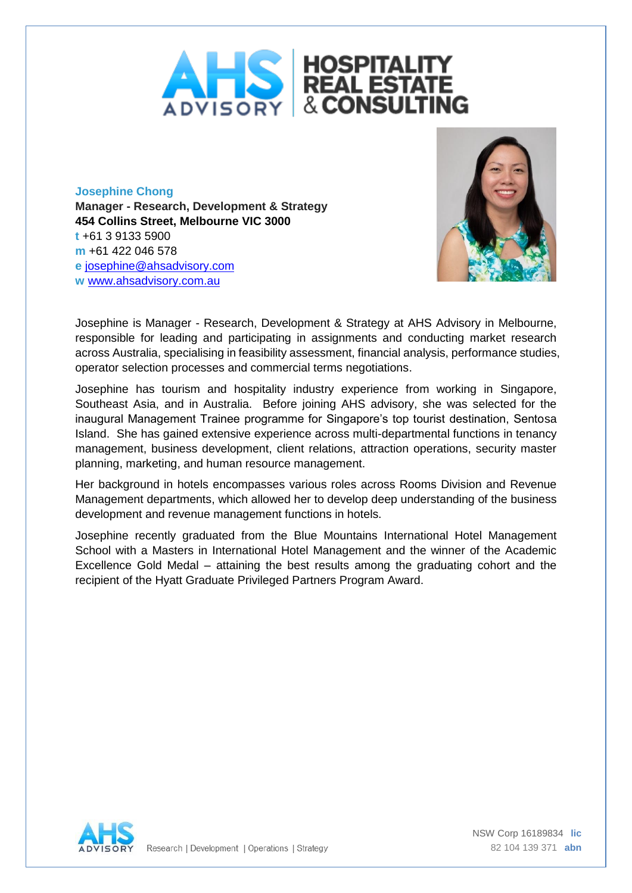

**Josephine Chong Manager - Research, Development & Strategy 454 Collins Street, Melbourne VIC 3000 t** +61 3 9133 5900 **m** +61 422 046 578 **e** [josephine@ahsadvisory.com](mailto:josephine@ahsadvisory.com) **w** [www.ahsadvisory.com.au](http://www.ahsadvisory.com.au/)



Josephine is Manager - Research, Development & Strategy at AHS Advisory in Melbourne, responsible for leading and participating in assignments and conducting market research across Australia, specialising in feasibility assessment, financial analysis, performance studies, operator selection processes and commercial terms negotiations.

Josephine has tourism and hospitality industry experience from working in Singapore, Southeast Asia, and in Australia. Before joining AHS advisory, she was selected for the inaugural Management Trainee programme for Singapore's top tourist destination, Sentosa Island. She has gained extensive experience across multi-departmental functions in tenancy management, business development, client relations, attraction operations, security master planning, marketing, and human resource management.

Her background in hotels encompasses various roles across Rooms Division and Revenue Management departments, which allowed her to develop deep understanding of the business development and revenue management functions in hotels.

Josephine recently graduated from the Blue Mountains International Hotel Management School with a Masters in International Hotel Management and the winner of the Academic Excellence Gold Medal – attaining the best results among the graduating cohort and the recipient of the Hyatt Graduate Privileged Partners Program Award.



Research | Development | Operations | Strategy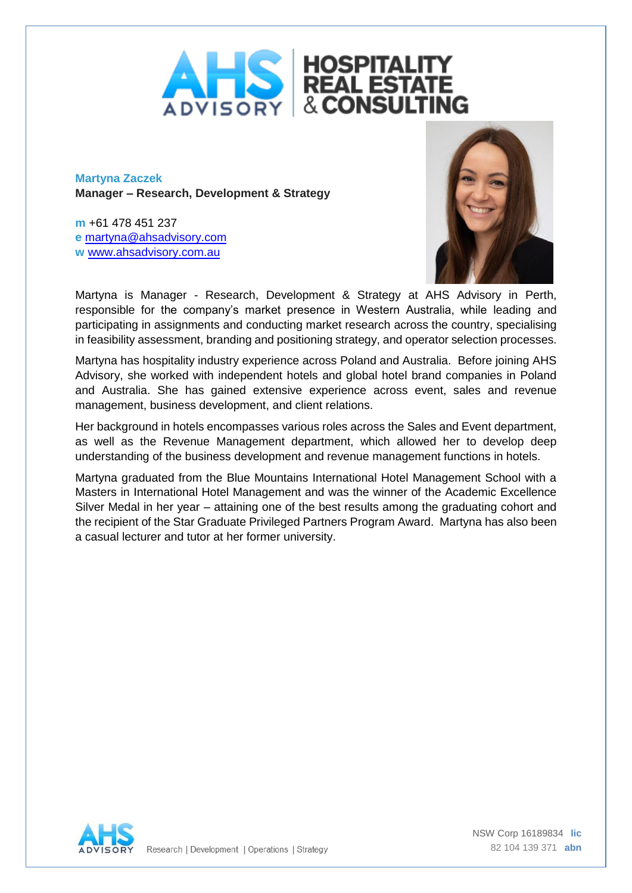

**Martyna Zaczek Manager – Research, Development & Strategy**

**m** +61 478 451 237 **e** [martyna@ahsadvisory.com](mailto:martyna@ahsadvisory.com) **w** [www.ahsadvisory.com.au](http://www.ahsadvisory.com.au/)



Martyna is Manager - Research, Development & Strategy at AHS Advisory in Perth, responsible for the company's market presence in Western Australia, while leading and participating in assignments and conducting market research across the country, specialising in feasibility assessment, branding and positioning strategy, and operator selection processes.

Martyna has hospitality industry experience across Poland and Australia. Before joining AHS Advisory, she worked with independent hotels and global hotel brand companies in Poland and Australia. She has gained extensive experience across event, sales and revenue management, business development, and client relations.

Her background in hotels encompasses various roles across the Sales and Event department, as well as the Revenue Management department, which allowed her to develop deep understanding of the business development and revenue management functions in hotels.

Martyna graduated from the Blue Mountains International Hotel Management School with a Masters in International Hotel Management and was the winner of the Academic Excellence Silver Medal in her year – attaining one of the best results among the graduating cohort and the recipient of the Star Graduate Privileged Partners Program Award. Martyna has also been a casual lecturer and tutor at her former university.

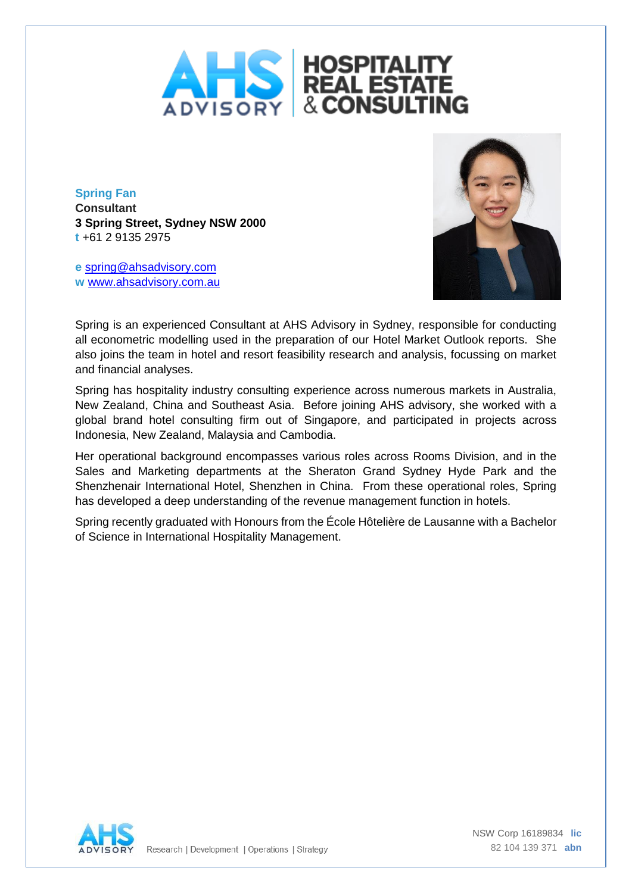

**Spring Fan Consultant 3 Spring Street, Sydney NSW 2000 t** +61 2 9135 2975

**e** [spring@ahsadvisory.com](mailto:spring@ahsadvisory.com) **w** [www.ahsadvisory.com.au](http://www.ahsadvisory.com.au/)



Spring is an experienced Consultant at AHS Advisory in Sydney, responsible for conducting all econometric modelling used in the preparation of our Hotel Market Outlook reports. She also joins the team in hotel and resort feasibility research and analysis, focussing on market and financial analyses.

Spring has hospitality industry consulting experience across numerous markets in Australia, New Zealand, China and Southeast Asia. Before joining AHS advisory, she worked with a global brand hotel consulting firm out of Singapore, and participated in projects across Indonesia, New Zealand, Malaysia and Cambodia.

Her operational background encompasses various roles across Rooms Division, and in the Sales and Marketing departments at the Sheraton Grand Sydney Hyde Park and the Shenzhenair International Hotel, Shenzhen in China. From these operational roles, Spring has developed a deep understanding of the revenue management function in hotels.

Spring recently graduated with Honours from the École Hôtelière de Lausanne with a Bachelor of Science in International Hospitality Management.